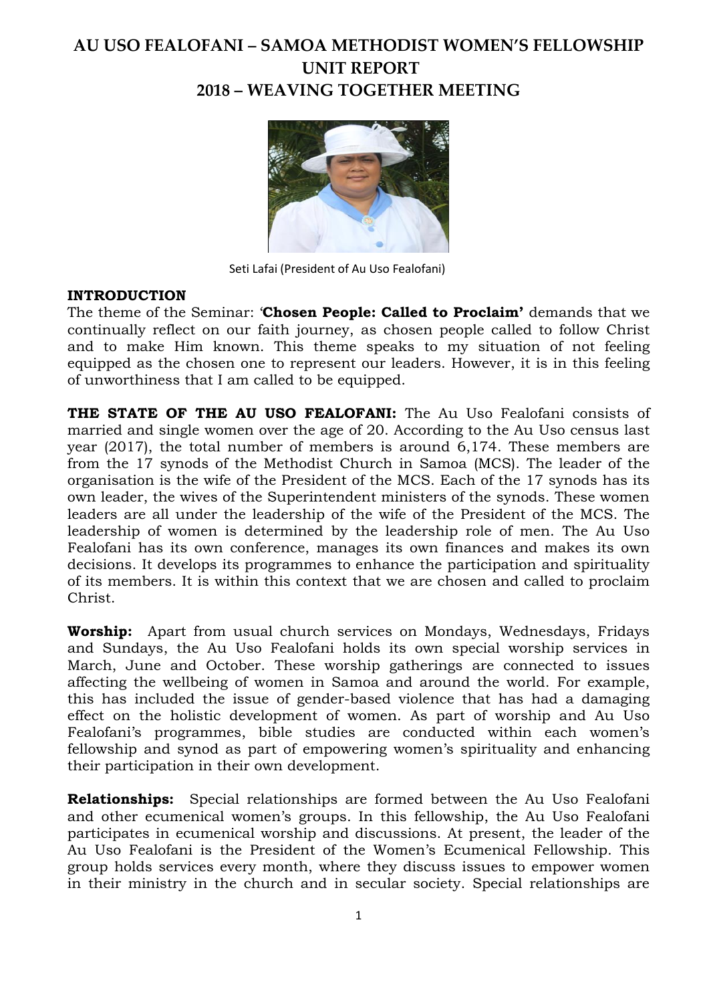# **AU USO FEALOFANI – SAMOA METHODIST WOMEN'S FELLOWSHIP UNIT REPORT 2018 – WEAVING TOGETHER MEETING**



Seti Lafai (President of Au Uso Fealofani)

#### **INTRODUCTION**

The theme of the Seminar: '**Chosen People: Called to Proclaim'** demands that we continually reflect on our faith journey, as chosen people called to follow Christ and to make Him known. This theme speaks to my situation of not feeling equipped as the chosen one to represent our leaders. However, it is in this feeling of unworthiness that I am called to be equipped.

**THE STATE OF THE AU USO FEALOFANI:** The Au Uso Fealofani consists of married and single women over the age of 20. According to the Au Uso census last year (2017), the total number of members is around 6,174. These members are from the 17 synods of the Methodist Church in Samoa (MCS). The leader of the organisation is the wife of the President of the MCS. Each of the 17 synods has its own leader, the wives of the Superintendent ministers of the synods. These women leaders are all under the leadership of the wife of the President of the MCS. The leadership of women is determined by the leadership role of men. The Au Uso Fealofani has its own conference, manages its own finances and makes its own decisions. It develops its programmes to enhance the participation and spirituality of its members. It is within this context that we are chosen and called to proclaim Christ.

**Worship:** Apart from usual church services on Mondays, Wednesdays, Fridays and Sundays, the Au Uso Fealofani holds its own special worship services in March, June and October. These worship gatherings are connected to issues affecting the wellbeing of women in Samoa and around the world. For example, this has included the issue of gender-based violence that has had a damaging effect on the holistic development of women. As part of worship and Au Uso Fealofani's programmes, bible studies are conducted within each women's fellowship and synod as part of empowering women's spirituality and enhancing their participation in their own development.

**Relationships:** Special relationships are formed between the Au Uso Fealofani and other ecumenical women's groups. In this fellowship, the Au Uso Fealofani participates in ecumenical worship and discussions. At present, the leader of the Au Uso Fealofani is the President of the Women's Ecumenical Fellowship. This group holds services every month, where they discuss issues to empower women in their ministry in the church and in secular society. Special relationships are